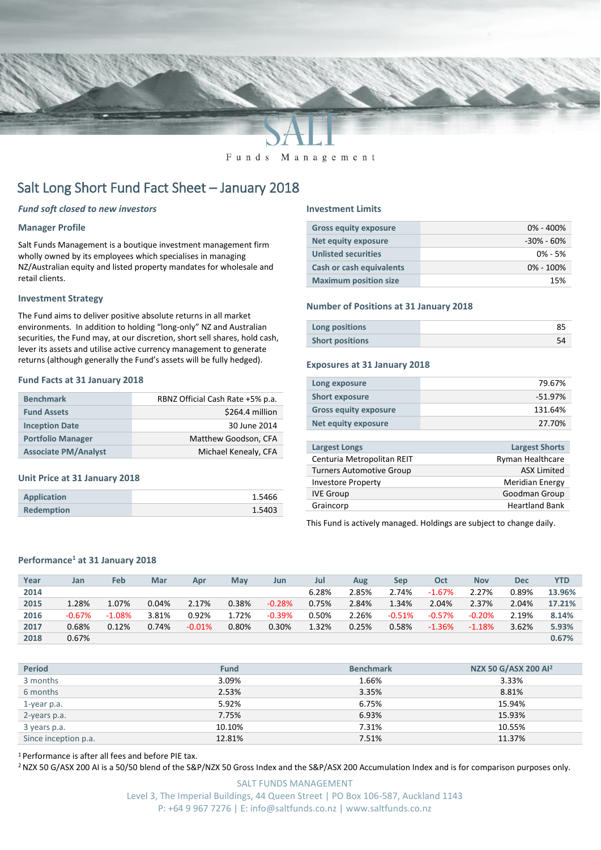

Funds Management

# Salt Long Short Fund Fact Sheet – January 2018

# *Fund soft closed to new investors*

# **Manager Profile**

Salt Funds Management is a boutique investment management firm wholly owned by its employees which specialises in managing NZ/Australian equity and listed property mandates for wholesale and retail clients.

# **Investment Strategy**

The Fund aims to deliver positive absolute returns in all market environments. In addition to holding "long-only" NZ and Australian securities, the Fund may, at our discretion, short sell shares, hold cash, lever its assets and utilise active currency management to generate returns (although generally the Fund's assets will be fully hedged).

# **Fund Facts at 31 January 2018**

| <b>Benchmark</b>            | RBNZ Official Cash Rate +5% p.a. |
|-----------------------------|----------------------------------|
| <b>Fund Assets</b>          | \$264.4 million                  |
| <b>Inception Date</b>       | 30 June 2014                     |
| <b>Portfolio Manager</b>    | Matthew Goodson, CFA             |
| <b>Associate PM/Analyst</b> | Michael Kenealy, CFA             |

# **Unit Price at 31 January 2018**

| Application       | 1.5466 |
|-------------------|--------|
| <b>Redemption</b> | 1.5403 |

#### **Investment Limits**

| <b>Gross equity exposure</b>    | $0\% - 400\%$  |
|---------------------------------|----------------|
| <b>Net equity exposure</b>      | $-30\% - 60\%$ |
| <b>Unlisted securities</b>      | $0\% - 5\%$    |
| <b>Cash or cash equivalents</b> | $0\% - 100\%$  |
| <b>Maximum position size</b>    | 15%            |

# **Number of Positions at 31 January 2018**

| Long positions         |  |
|------------------------|--|
| <b>Short positions</b> |  |

### **Exposures at 31 January 2018**

| Long exposure                | 79.67%    |
|------------------------------|-----------|
| <b>Short exposure</b>        | $-51.97%$ |
| <b>Gross equity exposure</b> | 131.64%   |
| Net equity exposure          | 27.70%    |
|                              |           |

| <b>Largest Longs</b>            | <b>Largest Shorts</b>  |
|---------------------------------|------------------------|
| Centuria Metropolitan REIT      | Ryman Healthcare       |
| <b>Turners Automotive Group</b> | <b>ASX Limited</b>     |
| <b>Investore Property</b>       | <b>Meridian Energy</b> |
| <b>IVE Group</b>                | Goodman Group          |
| Graincorp                       | <b>Heartland Bank</b>  |
|                                 |                        |

This Fund is actively managed. Holdings are subject to change daily.

# **Performance<sup>1</sup> at 31 January 2018**

| Year | Jan      | Feb      | Mar   | Apr      | <b>May</b> | Jun      | Jul   | Aug   | Sep      | Oct      | <b>Nov</b> | Dec   | <b>YTD</b> |
|------|----------|----------|-------|----------|------------|----------|-------|-------|----------|----------|------------|-------|------------|
| 2014 |          |          |       |          |            |          | 6.28% | 2.85% | 2.74%    | $-1.67%$ | 2.27%      | 0.89% | 13.96%     |
| 2015 | 1.28%    | 1.07%    | 0.04% | 2.17%    | 0.38%      | $-0.28%$ | 0.75% | 2.84% | 1.34%    | 2.04%    | 2.37%      | 2.04% | 17.21%     |
| 2016 | $-0.67%$ | $-1.08%$ | 3.81% | 0.92%    | 1.72%      | $-0.39%$ | 0.50% | 2.26% | $-0.51%$ | $-0.57%$ | $-0.20%$   | 2.19% | 8.14%      |
| 2017 | 0.68%    | 0.12%    | 0.74% | $-0.01%$ | 0.80%      | 0.30%    | 1.32% | 0.25% | 0.58%    | $-1.36%$ | $-1.18%$   | 3.62% | 5.93%      |
| 2018 | 0.67%    |          |       |          |            |          |       |       |          |          |            |       | 0.67%      |

| <b>Period</b>        | <b>Fund</b> | <b>Benchmark</b> | NZX 50 G/ASX 200 Al <sup>2</sup> |
|----------------------|-------------|------------------|----------------------------------|
| 3 months             | 3.09%       | 1.66%            | 3.33%                            |
| 6 months             | 2.53%       | 3.35%            | 8.81%                            |
| 1-year p.a.          | 5.92%       | 6.75%            | 15.94%                           |
| 2-years p.a.         | 7.75%       | 6.93%            | 15.93%                           |
| 3 years p.a.         | 10.10%      | 7.31%            | 10.55%                           |
| Since inception p.a. | 12.81%      | 7.51%            | 11.37%                           |

<sup>1</sup> Performance is after all fees and before PIE tax.

<sup>2</sup> NZX 50 G/ASX 200 AI is a 50/50 blend of the S&P/NZX 50 Gross Index and the S&P/ASX 200 Accumulation Index and is for comparison purposes only.

SALT FUNDS MANAGEMENT Level 3, The Imperial Buildings, 44 Queen Street | PO Box 106-587, Auckland 1143 P: +64 9 967 7276 | E: info@saltfunds.co.nz | www.saltfunds.co.nz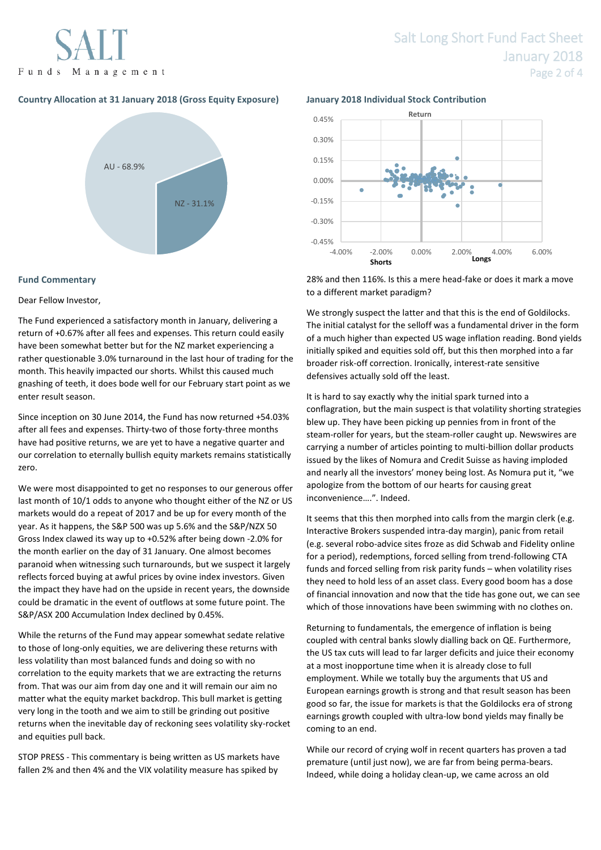Funds Management

# **Country Allocation at 31 January 2018 (Gross Equity Exposure) January 2018 Individual Stock Contribution**



# **Fund Commentary**

# Dear Fellow Investor,

The Fund experienced a satisfactory month in January, delivering a return of +0.67% after all fees and expenses. This return could easily have been somewhat better but for the NZ market experiencing a rather questionable 3.0% turnaround in the last hour of trading for the month. This heavily impacted our shorts. Whilst this caused much gnashing of teeth, it does bode well for our February start point as we enter result season.

Since inception on 30 June 2014, the Fund has now returned +54.03% after all fees and expenses. Thirty-two of those forty-three months have had positive returns, we are yet to have a negative quarter and our correlation to eternally bullish equity markets remains statistically zero.

We were most disappointed to get no responses to our generous offer last month of 10/1 odds to anyone who thought either of the NZ or US markets would do a repeat of 2017 and be up for every month of the year. As it happens, the S&P 500 was up 5.6% and the S&P/NZX 50 Gross Index clawed its way up to +0.52% after being down -2.0% for the month earlier on the day of 31 January. One almost becomes paranoid when witnessing such turnarounds, but we suspect it largely reflects forced buying at awful prices by ovine index investors. Given the impact they have had on the upside in recent years, the downside could be dramatic in the event of outflows at some future point. The S&P/ASX 200 Accumulation Index declined by 0.45%.

While the returns of the Fund may appear somewhat sedate relative to those of long-only equities, we are delivering these returns with less volatility than most balanced funds and doing so with no correlation to the equity markets that we are extracting the returns from. That was our aim from day one and it will remain our aim no matter what the equity market backdrop. This bull market is getting very long in the tooth and we aim to still be grinding out positive returns when the inevitable day of reckoning sees volatility sky-rocket and equities pull back.

STOP PRESS - This commentary is being written as US markets have fallen 2% and then 4% and the VIX volatility measure has spiked by



28% and then 116%. Is this a mere head-fake or does it mark a move to a different market paradigm?

We strongly suspect the latter and that this is the end of Goldilocks. The initial catalyst for the selloff was a fundamental driver in the form of a much higher than expected US wage inflation reading. Bond yields initially spiked and equities sold off, but this then morphed into a far broader risk-off correction. Ironically, interest-rate sensitive defensives actually sold off the least.

It is hard to say exactly why the initial spark turned into a conflagration, but the main suspect is that volatility shorting strategies blew up. They have been picking up pennies from in front of the steam-roller for years, but the steam-roller caught up. Newswires are carrying a number of articles pointing to multi-billion dollar products issued by the likes of Nomura and Credit Suisse as having imploded and nearly all the investors' money being lost. As Nomura put it, "we apologize from the bottom of our hearts for causing great inconvenience….". Indeed.

It seems that this then morphed into calls from the margin clerk (e.g. Interactive Brokers suspended intra-day margin), panic from retail (e.g. several robo-advice sites froze as did Schwab and Fidelity online for a period), redemptions, forced selling from trend-following CTA funds and forced selling from risk parity funds – when volatility rises they need to hold less of an asset class. Every good boom has a dose of financial innovation and now that the tide has gone out, we can see which of those innovations have been swimming with no clothes on.

Returning to fundamentals, the emergence of inflation is being coupled with central banks slowly dialling back on QE. Furthermore, the US tax cuts will lead to far larger deficits and juice their economy at a most inopportune time when it is already close to full employment. While we totally buy the arguments that US and European earnings growth is strong and that result season has been good so far, the issue for markets is that the Goldilocks era of strong earnings growth coupled with ultra-low bond yields may finally be coming to an end.

While our record of crying wolf in recent quarters has proven a tad premature (until just now), we are far from being perma-bears. Indeed, while doing a holiday clean-up, we came across an old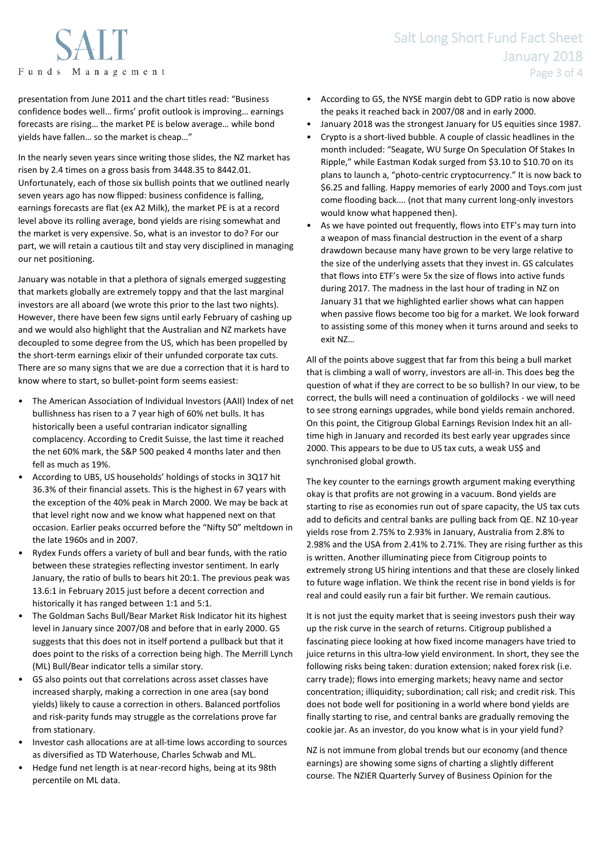# Salt Long Short Fund Fact Sheet January 2018 Page 3 of 4

presentation from June 2011 and the chart titles read: "Business confidence bodes well… firms' profit outlook is improving… earnings forecasts are rising… the market PE is below average… while bond yields have fallen… so the market is cheap…"

In the nearly seven years since writing those slides, the NZ market has risen by 2.4 times on a gross basis from 3448.35 to 8442.01. Unfortunately, each of those six bullish points that we outlined nearly seven years ago has now flipped: business confidence is falling, earnings forecasts are flat (ex A2 Milk), the market PE is at a record level above its rolling average, bond yields are rising somewhat and the market is very expensive. So, what is an investor to do? For our part, we will retain a cautious tilt and stay very disciplined in managing our net positioning.

January was notable in that a plethora of signals emerged suggesting that markets globally are extremely toppy and that the last marginal investors are all aboard (we wrote this prior to the last two nights). However, there have been few signs until early February of cashing up and we would also highlight that the Australian and NZ markets have decoupled to some degree from the US, which has been propelled by the short-term earnings elixir of their unfunded corporate tax cuts. There are so many signs that we are due a correction that it is hard to know where to start, so bullet-point form seems easiest:

- The American Association of Individual Investors (AAII) Index of net bullishness has risen to a 7 year high of 60% net bulls. It has historically been a useful contrarian indicator signalling complacency. According to Credit Suisse, the last time it reached the net 60% mark, the S&P 500 peaked 4 months later and then fell as much as 19%.
- According to UBS, US households' holdings of stocks in 3Q17 hit 36.3% of their financial assets. This is the highest in 67 years with the exception of the 40% peak in March 2000. We may be back at that level right now and we know what happened next on that occasion. Earlier peaks occurred before the "Nifty 50" meltdown in the late 1960s and in 2007.
- Rydex Funds offers a variety of bull and bear funds, with the ratio between these strategies reflecting investor sentiment. In early January, the ratio of bulls to bears hit 20:1. The previous peak was 13.6:1 in February 2015 just before a decent correction and historically it has ranged between 1:1 and 5:1.
- The Goldman Sachs Bull/Bear Market Risk Indicator hit its highest level in January since 2007/08 and before that in early 2000. GS suggests that this does not in itself portend a pullback but that it does point to the risks of a correction being high. The Merrill Lynch (ML) Bull/Bear indicator tells a similar story.
- GS also points out that correlations across asset classes have increased sharply, making a correction in one area (say bond yields) likely to cause a correction in others. Balanced portfolios and risk-parity funds may struggle as the correlations prove far from stationary.
- Investor cash allocations are at all-time lows according to sources as diversified as TD Waterhouse, Charles Schwab and ML.
- Hedge fund net length is at near-record highs, being at its 98th percentile on ML data.
- According to GS, the NYSE margin debt to GDP ratio is now above the peaks it reached back in 2007/08 and in early 2000.
- January 2018 was the strongest January for US equities since 1987.
- Crypto is a short-lived bubble. A couple of classic headlines in the month included: "Seagate, WU Surge On Speculation Of Stakes In Ripple," while Eastman Kodak surged from \$3.10 to \$10.70 on its plans to launch a, "photo-centric cryptocurrency." It is now back to \$6.25 and falling. Happy memories of early 2000 and Toys.com just come flooding back…. (not that many current long-only investors would know what happened then).
- As we have pointed out frequently, flows into ETF's may turn into a weapon of mass financial destruction in the event of a sharp drawdown because many have grown to be very large relative to the size of the underlying assets that they invest in. GS calculates that flows into ETF's were 5x the size of flows into active funds during 2017. The madness in the last hour of trading in NZ on January 31 that we highlighted earlier shows what can happen when passive flows become too big for a market. We look forward to assisting some of this money when it turns around and seeks to exit NZ…

All of the points above suggest that far from this being a bull market that is climbing a wall of worry, investors are all-in. This does beg the question of what if they are correct to be so bullish? In our view, to be correct, the bulls will need a continuation of goldilocks - we will need to see strong earnings upgrades, while bond yields remain anchored. On this point, the Citigroup Global Earnings Revision Index hit an alltime high in January and recorded its best early year upgrades since 2000. This appears to be due to US tax cuts, a weak US\$ and synchronised global growth.

The key counter to the earnings growth argument making everything okay is that profits are not growing in a vacuum. Bond yields are starting to rise as economies run out of spare capacity, the US tax cuts add to deficits and central banks are pulling back from QE. NZ 10-year yields rose from 2.75% to 2.93% in January, Australia from 2.8% to 2.98% and the USA from 2.41% to 2.71%. They are rising further as this is written. Another illuminating piece from Citigroup points to extremely strong US hiring intentions and that these are closely linked to future wage inflation. We think the recent rise in bond yields is for real and could easily run a fair bit further. We remain cautious.

It is not just the equity market that is seeing investors push their way up the risk curve in the search of returns. Citigroup published a fascinating piece looking at how fixed income managers have tried to juice returns in this ultra-low yield environment. In short, they see the following risks being taken: duration extension; naked forex risk (i.e. carry trade); flows into emerging markets; heavy name and sector concentration; illiquidity; subordination; call risk; and credit risk. This does not bode well for positioning in a world where bond yields are finally starting to rise, and central banks are gradually removing the cookie jar. As an investor, do you know what is in your yield fund?

NZ is not immune from global trends but our economy (and thence earnings) are showing some signs of charting a slightly different course. The NZIER Quarterly Survey of Business Opinion for the